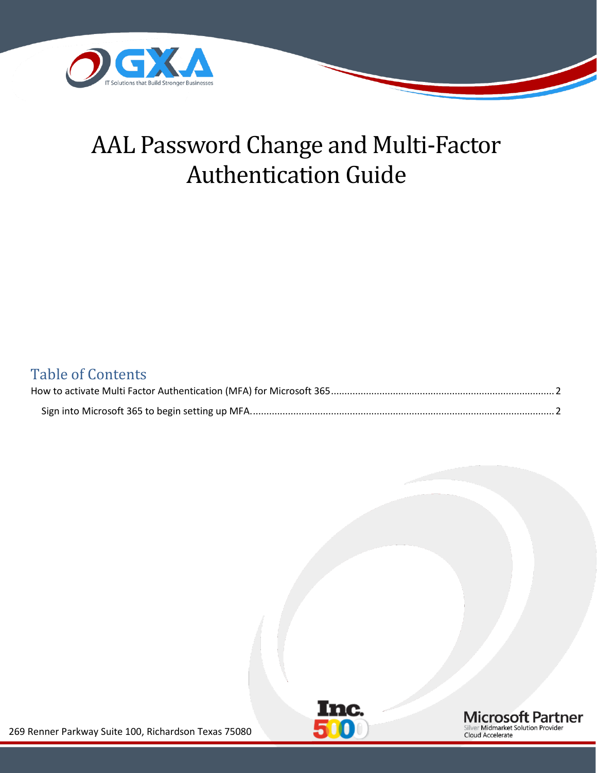

# AAL Password Change and Multi-Factor Authentication Guide

#### Table of Contents



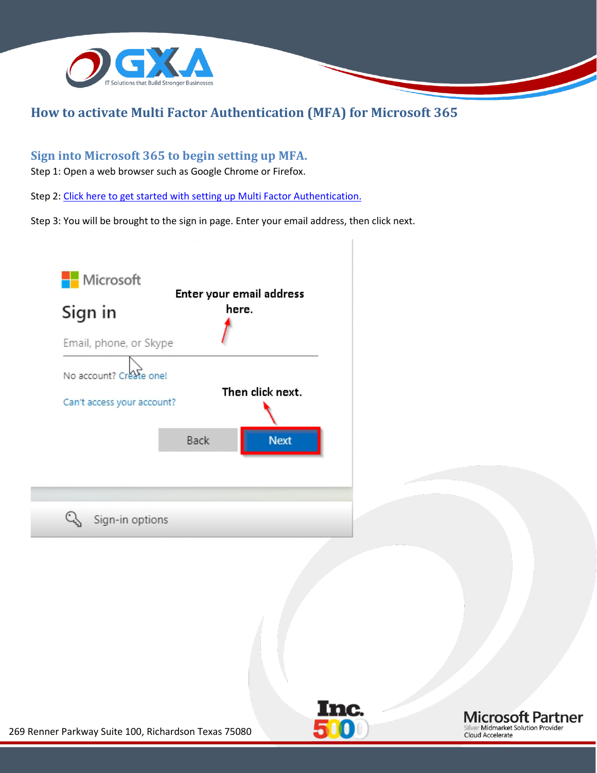

#### <span id="page-1-0"></span>**How to activate Multi Factor Authentication (MFA) for Microsoft 365**

#### <span id="page-1-1"></span>**Sign into Microsoft 365 to begin setting up MFA.**

Step 1: Open a web browser such as Google Chrome or Firefox.

Step 2: [Click here to get started with setting](https://portal.office365.com/) up Multi Factor Authentication.

Step 3: You will be brought to the sign in page. Enter your email address, then click next.





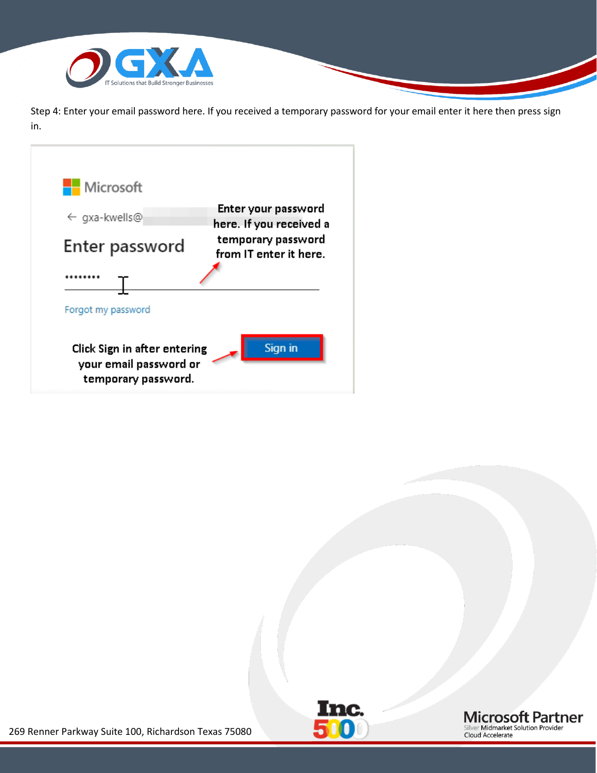

Step 4: Enter your email password here. If you received a temporary password for your email enter it here then press sign in.





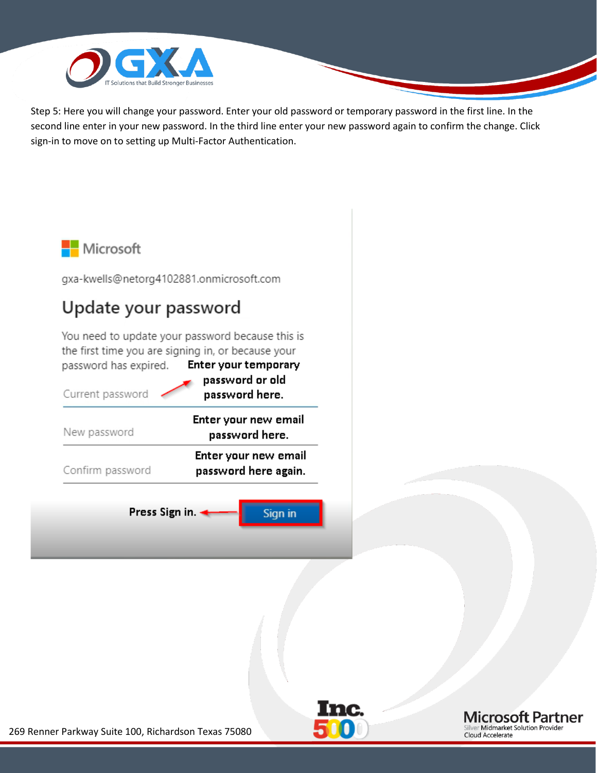

Step 5: Here you will change your password. Enter your old password or temporary password in the first line. In the second line enter in your new password. In the third line enter your new password again to confirm the change. Click sign-in to move on to setting up Multi-Factor Authentication.







269 Renner Parkway Suite 100, Richardson Texas 75080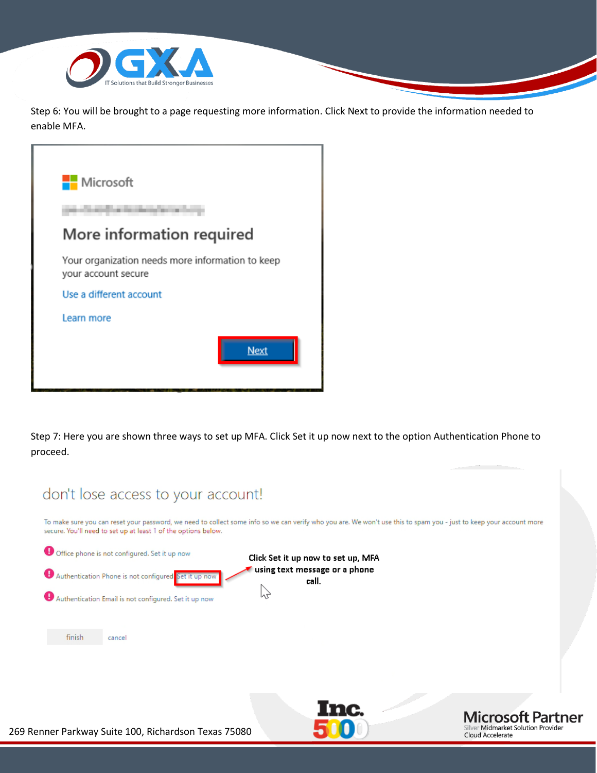

Step 6: You will be brought to a page requesting more information. Click Next to provide the information needed to enable MFA.

| Microsoft                                                               |             |
|-------------------------------------------------------------------------|-------------|
|                                                                         |             |
| More information required                                               |             |
| Your organization needs more information to keep<br>your account secure |             |
| Use a different account                                                 |             |
| Learn more                                                              |             |
|                                                                         | <b>Next</b> |

Step 7: Here you are shown three ways to set up MFA. Click Set it up now next to the option Authentication Phone to proceed.

| don't lose access to your account!                                                                                                                                                                                                             |  |
|------------------------------------------------------------------------------------------------------------------------------------------------------------------------------------------------------------------------------------------------|--|
| To make sure you can reset your password, we need to collect some info so we can verify who you are. We won't use this to spam you - just to keep your account more<br>secure. You'll need to set up at least 1 of the options below.          |  |
| Office phone is not configured. Set it up now<br>Click Set it up now to set up, MFA<br>using text message or a phone<br>Authentication Phone is not configured Set it up now<br>call.<br>Authentication Email is not configured. Set it up now |  |
| finish<br>cancel                                                                                                                                                                                                                               |  |
| nc.<br><b>Microsoft Partner</b><br>Silver Midmarket Solution Provider<br>enner Parkway Suite 100, Richardson Texas 75080<br>Cloud Accelerate                                                                                                   |  |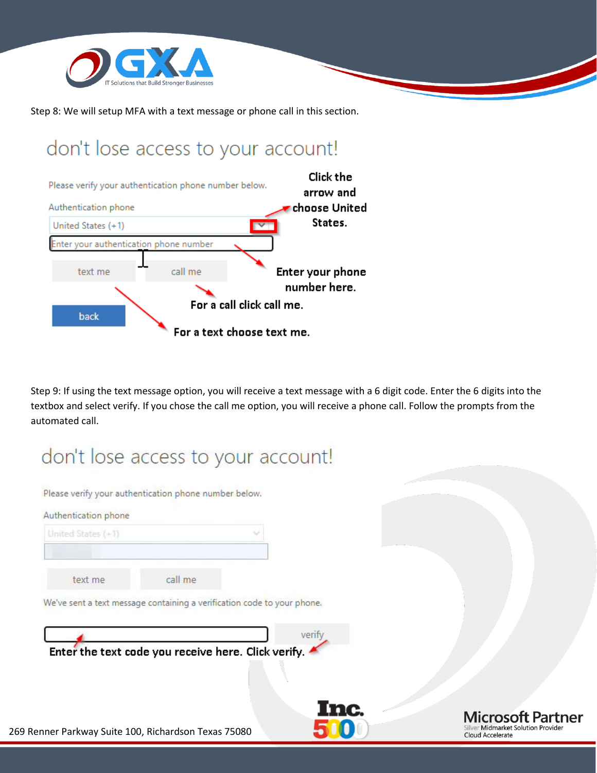

Step 8: We will setup MFA with a text message or phone call in this section.

### don't lose access to your account!



Step 9: If using the text message option, you will receive a text message with a 6 digit code. Enter the 6 digits into the textbox and select verify. If you chose the call me option, you will receive a phone call. Follow the prompts from the automated call.

# don't lose access to your account!

Please verify your authentication phone number below.

| United States (+1) |                                                                         |        |
|--------------------|-------------------------------------------------------------------------|--------|
| text me            | call me                                                                 |        |
|                    | We've sent a text message containing a verification code to your phone. |        |
|                    |                                                                         |        |
|                    |                                                                         | verify |

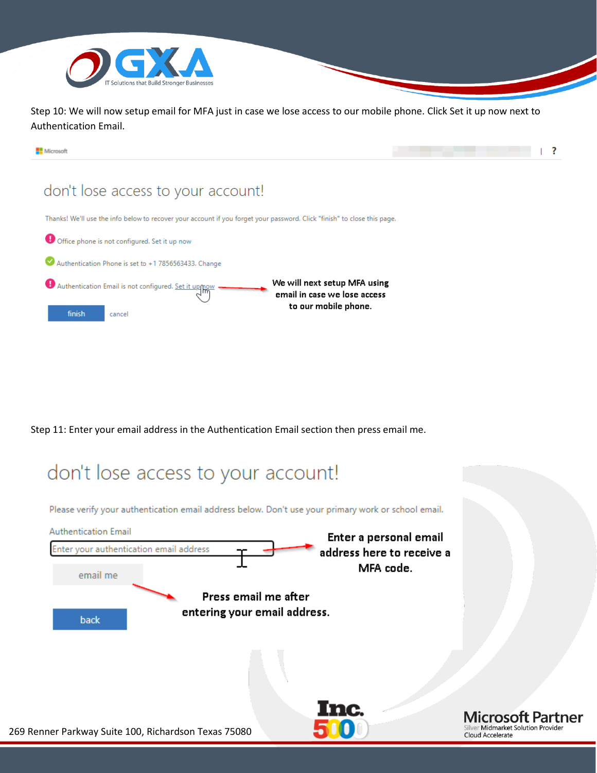

Step 10: We will now setup email for MFA just in case we lose access to our mobile phone. Click Set it up now next to Authentication Email.



Step 11: Enter your email address in the Authentication Email section then press email me.

### don't lose access to your account!

Please verify your authentication email address below. Don't use your primary work or school email.

| <b>Authentication Email</b> | Enter a personal email                                               |                                                                                    |
|-----------------------------|----------------------------------------------------------------------|------------------------------------------------------------------------------------|
|                             | Enter your authentication email address<br>address here to receive a |                                                                                    |
| email me                    | MFA code.                                                            |                                                                                    |
|                             | Press email me after                                                 |                                                                                    |
| back                        | entering your email address.                                         |                                                                                    |
|                             |                                                                      |                                                                                    |
|                             | Inc.<br>269 Renner Parkway Suite 100, Richardson Texas 75080         | <b>Microsoft Partner</b><br>Silver Midmarket Solution Provider<br>Cloud Accelerate |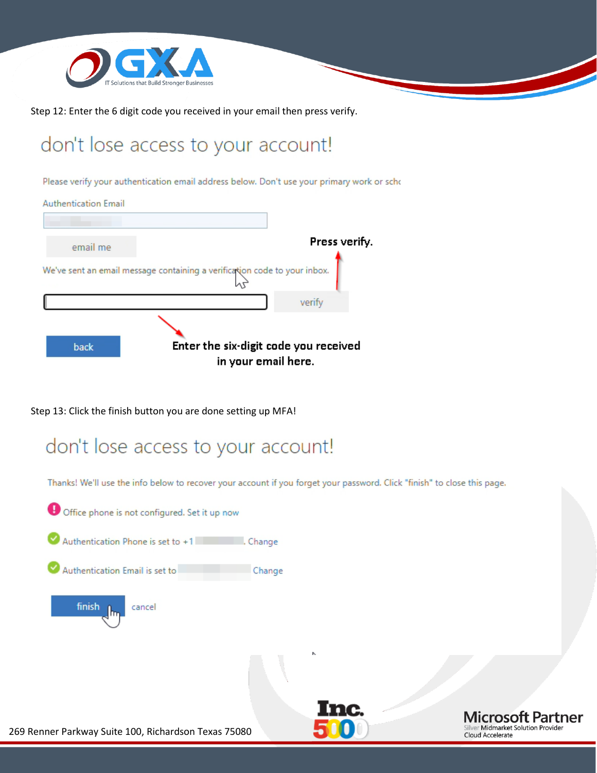

Step 12: Enter the 6 digit code you received in your email then press verify.

## don't lose access to your account!

Please verify your authentication email address below. Don't use your primary work or scho



Step 13: Click the finish button you are done setting up MFA!

### don't lose access to your account!

Thanks! We'll use the info below to recover your account if you forget your password. Click "finish" to close this page.